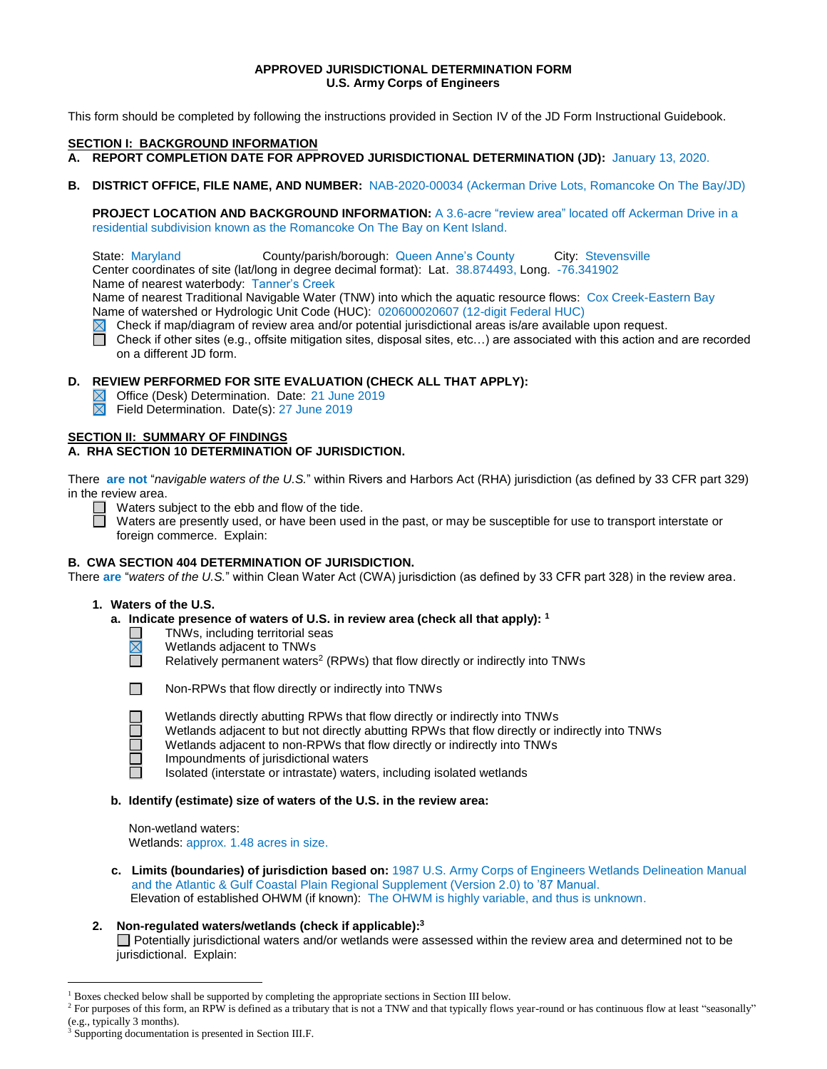## **APPROVED JURISDICTIONAL DETERMINATION FORM U.S. Army Corps of Engineers**

This form should be completed by following the instructions provided in Section IV of the JD Form Instructional Guidebook.

### **SECTION I: BACKGROUND INFORMATION**

- **A. REPORT COMPLETION DATE FOR APPROVED JURISDICTIONAL DETERMINATION (JD):** January 13, 2020.
- **B. DISTRICT OFFICE, FILE NAME, AND NUMBER:** NAB-2020-00034 (Ackerman Drive Lots, Romancoke On The Bay/JD)

**PROJECT LOCATION AND BACKGROUND INFORMATION:** A 3.6-acre "review area" located off Ackerman Drive in a residential subdivision known as the Romancoke On The Bay on Kent Island.

State: Maryland County/parish/borough: Queen Anne's County City: Stevensville

Center coordinates of site (lat/long in degree decimal format): Lat. 38.874493, Long. -76.341902

Name of nearest waterbody: Tanner's Creek

Name of nearest Traditional Navigable Water (TNW) into which the aquatic resource flows: Cox Creek-Eastern Bay Name of watershed or Hydrologic Unit Code (HUC): 020600020607 (12-digit Federal HUC)

Check if map/diagram of review area and/or potential jurisdictional areas is/are available upon request.

П Check if other sites (e.g., offsite mitigation sites, disposal sites, etc…) are associated with this action and are recorded on a different JD form.

# **D. REVIEW PERFORMED FOR SITE EVALUATION (CHECK ALL THAT APPLY):**

- Office (Desk) Determination. Date: 21 June 2019
- $\boxtimes$ Field Determination. Date(s): 27 June 2019

## **SECTION II: SUMMARY OF FINDINGS**

# **A. RHA SECTION 10 DETERMINATION OF JURISDICTION.**

There **are not** "*navigable waters of the U.S.*" within Rivers and Harbors Act (RHA) jurisdiction (as defined by 33 CFR part 329) in the review area.

 $\Box$  Waters subject to the ebb and flow of the tide.

Waters are presently used, or have been used in the past, or may be susceptible for use to transport interstate or foreign commerce. Explain:

# **B. CWA SECTION 404 DETERMINATION OF JURISDICTION.**

There **are** "*waters of the U.S.*" within Clean Water Act (CWA) jurisdiction (as defined by 33 CFR part 328) in the review area.

## **1. Waters of the U.S.**

## **a. Indicate presence of waters of U.S. in review area (check all that apply): 1**

- TNWs, including territorial seas  $\bar{\boxtimes}$ 
	- Wetlands adjacent to TNWs

Relatively permanent waters<sup>2</sup> (RPWs) that flow directly or indirectly into TNWs



Ħ

 $\overline{\Box}$ 

 $\overline{a}$ 

Wetlands directly abutting RPWs that flow directly or indirectly into TNWs

- Wetlands adjacent to but not directly abutting RPWs that flow directly or indirectly into TNWs
- Wetlands adjacent to non-RPWs that flow directly or indirectly into TNWs
- Impoundments of jurisdictional waters

Isolated (interstate or intrastate) waters, including isolated wetlands

## **b. Identify (estimate) size of waters of the U.S. in the review area:**

Non-wetland waters: Wetlands: approx. 1.48 acres in size.

 **c. Limits (boundaries) of jurisdiction based on:** 1987 U.S. Army Corps of Engineers Wetlands Delineation Manual and the Atlantic & Gulf Coastal Plain Regional Supplement (Version 2.0) to '87 Manual. Elevation of established OHWM (if known): The OHWM is highly variable, and thus is unknown.

# **2. Non-regulated waters/wetlands (check if applicable): 3**

□ Potentially jurisdictional waters and/or wetlands were assessed within the review area and determined not to be jurisdictional. Explain:

<sup>&</sup>lt;sup>1</sup> Boxes checked below shall be supported by completing the appropriate sections in Section III below.

<sup>&</sup>lt;sup>2</sup> For purposes of this form, an RPW is defined as a tributary that is not a TNW and that typically flows year-round or has continuous flow at least "seasonally" (e.g., typically 3 months).

<sup>&</sup>lt;sup>3</sup> Supporting documentation is presented in Section III.F.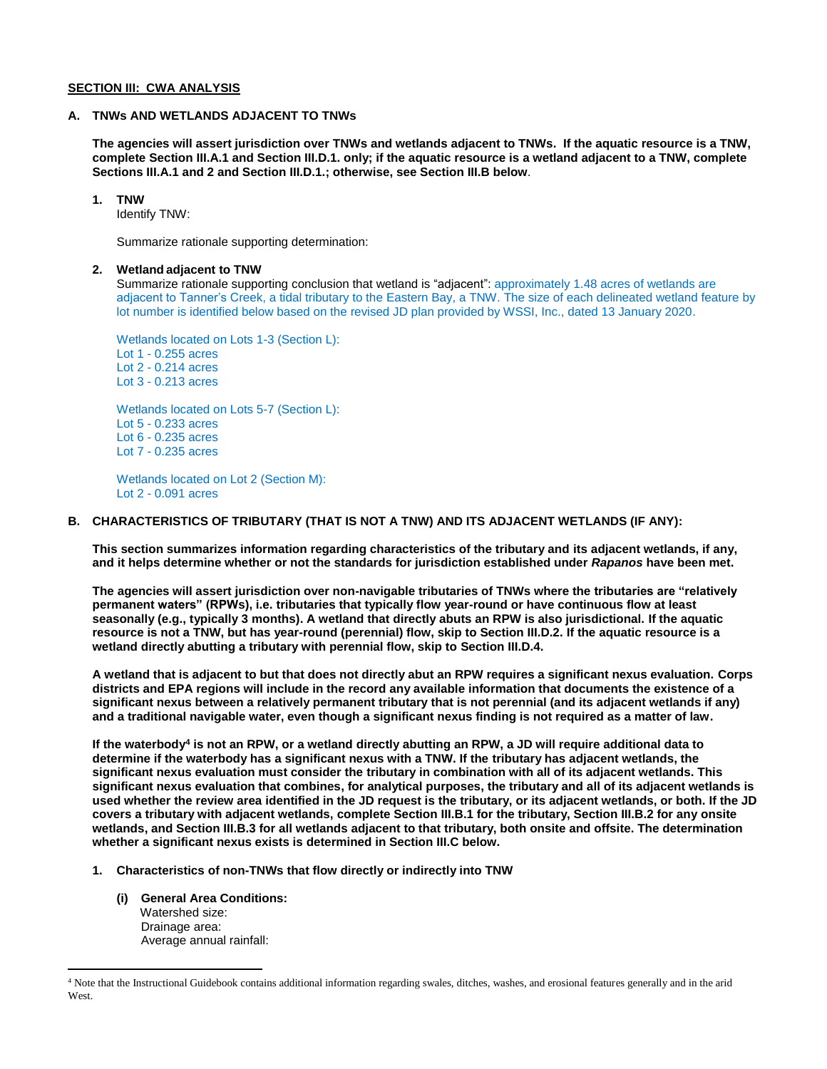#### **SECTION III: CWA ANALYSIS**

## **A. TNWs AND WETLANDS ADJACENT TO TNWs**

**The agencies will assert jurisdiction over TNWs and wetlands adjacent to TNWs. If the aquatic resource is a TNW, complete Section III.A.1 and Section III.D.1. only; if the aquatic resource is a wetland adjacent to a TNW, complete Sections III.A.1 and 2 and Section III.D.1.; otherwise, see Section III.B below**.

## **1. TNW**

Identify TNW:

Summarize rationale supporting determination:

## **2. Wetland adjacent to TNW**

Summarize rationale supporting conclusion that wetland is "adjacent": approximately 1.48 acres of wetlands are adjacent to Tanner's Creek, a tidal tributary to the Eastern Bay, a TNW. The size of each delineated wetland feature by lot number is identified below based on the revised JD plan provided by WSSI, Inc., dated 13 January 2020.

Wetlands located on Lots 1-3 (Section L): Lot 1 - 0.255 acres Lot 2 - 0.214 acres Lot 3 - 0.213 acres

Wetlands located on Lots 5-7 (Section L): Lot 5 - 0.233 acres Lot 6 - 0.235 acres Lot 7 - 0.235 acres

Wetlands located on Lot 2 (Section M): Lot 2 - 0.091 acres

# **B. CHARACTERISTICS OF TRIBUTARY (THAT IS NOT A TNW) AND ITS ADJACENT WETLANDS (IF ANY):**

**This section summarizes information regarding characteristics of the tributary and its adjacent wetlands, if any, and it helps determine whether or not the standards for jurisdiction established under** *Rapanos* **have been met.** 

**The agencies will assert jurisdiction over non-navigable tributaries of TNWs where the tributaries are "relatively permanent waters" (RPWs), i.e. tributaries that typically flow year-round or have continuous flow at least seasonally (e.g., typically 3 months). A wetland that directly abuts an RPW is also jurisdictional. If the aquatic resource is not a TNW, but has year-round (perennial) flow, skip to Section III.D.2. If the aquatic resource is a wetland directly abutting a tributary with perennial flow, skip to Section III.D.4.** 

**A wetland that is adjacent to but that does not directly abut an RPW requires a significant nexus evaluation. Corps districts and EPA regions will include in the record any available information that documents the existence of a significant nexus between a relatively permanent tributary that is not perennial (and its adjacent wetlands if any) and a traditional navigable water, even though a significant nexus finding is not required as a matter of law.**

**If the waterbody<sup>4</sup> is not an RPW, or a wetland directly abutting an RPW, a JD will require additional data to determine if the waterbody has a significant nexus with a TNW. If the tributary has adjacent wetlands, the significant nexus evaluation must consider the tributary in combination with all of its adjacent wetlands. This significant nexus evaluation that combines, for analytical purposes, the tributary and all of its adjacent wetlands is used whether the review area identified in the JD request is the tributary, or its adjacent wetlands, or both. If the JD covers a tributary with adjacent wetlands, complete Section III.B.1 for the tributary, Section III.B.2 for any onsite wetlands, and Section III.B.3 for all wetlands adjacent to that tributary, both onsite and offsite. The determination whether a significant nexus exists is determined in Section III.C below.**

- **1. Characteristics of non-TNWs that flow directly or indirectly into TNW**
	- **(i) General Area Conditions:** Watershed size: Drainage area: Average annual rainfall:

 $\overline{a}$ 

<sup>4</sup> Note that the Instructional Guidebook contains additional information regarding swales, ditches, washes, and erosional features generally and in the arid West.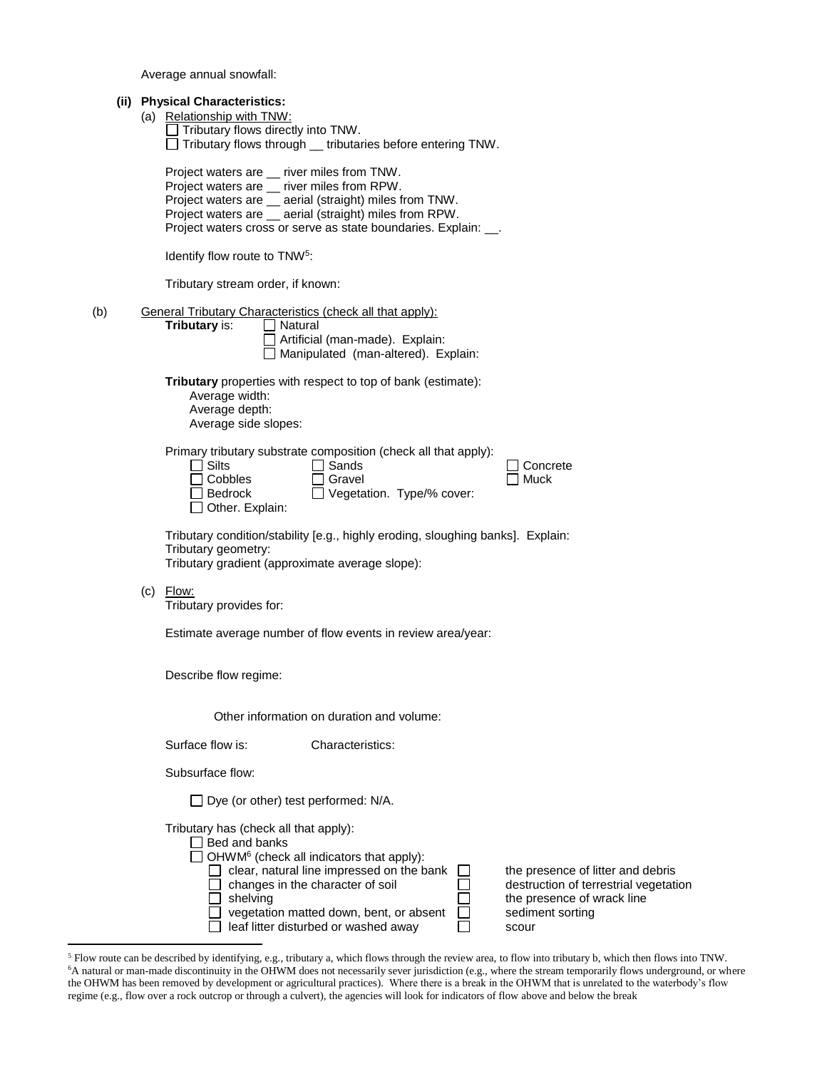Average annual snowfall:

|     |  | (ii) Physical Characteristics:<br>(a) Relationship with TNW:<br>$\Box$ Tributary flows directly into TNW.<br>Tributary flows through _ tributaries before entering TNW.                                                                                                                                                                                                                                                                        |
|-----|--|------------------------------------------------------------------------------------------------------------------------------------------------------------------------------------------------------------------------------------------------------------------------------------------------------------------------------------------------------------------------------------------------------------------------------------------------|
|     |  | Project waters are _ river miles from TNW.<br>Project waters are __ river miles from RPW.<br>Project waters are _ aerial (straight) miles from TNW.<br>Project waters are _ aerial (straight) miles from RPW.<br>Project waters cross or serve as state boundaries. Explain: __.                                                                                                                                                               |
|     |  | Identify flow route to TNW <sup>5</sup> :                                                                                                                                                                                                                                                                                                                                                                                                      |
|     |  | Tributary stream order, if known:                                                                                                                                                                                                                                                                                                                                                                                                              |
| (b) |  | General Tributary Characteristics (check all that apply):<br>Tributary is:<br>Natural<br>Artificial (man-made). Explain:<br>Manipulated (man-altered). Explain:                                                                                                                                                                                                                                                                                |
|     |  | <b>Tributary</b> properties with respect to top of bank (estimate):<br>Average width:<br>Average depth:<br>Average side slopes:                                                                                                                                                                                                                                                                                                                |
|     |  | Primary tributary substrate composition (check all that apply):<br><b>Silts</b><br>Sands<br>Concrete<br>Cobbles<br>Gravel<br>Muck<br>Vegetation. Type/% cover:<br>Bedrock<br>Other. Explain:                                                                                                                                                                                                                                                   |
|     |  | Tributary condition/stability [e.g., highly eroding, sloughing banks]. Explain:<br>Tributary geometry:<br>Tributary gradient (approximate average slope):                                                                                                                                                                                                                                                                                      |
|     |  | $(c)$ Flow:<br>Tributary provides for:                                                                                                                                                                                                                                                                                                                                                                                                         |
|     |  | Estimate average number of flow events in review area/year:                                                                                                                                                                                                                                                                                                                                                                                    |
|     |  | Describe flow regime:                                                                                                                                                                                                                                                                                                                                                                                                                          |
|     |  | Other information on duration and volume:                                                                                                                                                                                                                                                                                                                                                                                                      |
|     |  | Surface flow is:<br>Characteristics:                                                                                                                                                                                                                                                                                                                                                                                                           |
|     |  | Subsurface flow:                                                                                                                                                                                                                                                                                                                                                                                                                               |
|     |  | $\Box$ Dye (or other) test performed: N/A.                                                                                                                                                                                                                                                                                                                                                                                                     |
|     |  | Tributary has (check all that apply):<br>$\Box$ Bed and banks<br>OHWM <sup>6</sup> (check all indicators that apply):<br>clear, natural line impressed on the bank<br>the presence of litter and debris<br>changes in the character of soil<br>destruction of terrestrial vegetation<br>shelving<br>the presence of wrack line<br>vegetation matted down, bent, or absent<br>sediment sorting<br>leaf litter disturbed or washed away<br>scour |
|     |  |                                                                                                                                                                                                                                                                                                                                                                                                                                                |

 $<sup>5</sup>$  Flow route can be described by identifying, e.g., tributary a, which flows through the review area, to flow into tributary b, which then flows into TNW.</sup> <sup>6</sup>A natural or man-made discontinuity in the OHWM does not necessarily sever jurisdiction (e.g., where the stream temporarily flows underground, or where the OHWM has been removed by development or agricultural practices). Where there is a break in the OHWM that is unrelated to the waterbody's flow regime (e.g., flow over a rock outcrop or through a culvert), the agencies will look for indicators of flow above and below the break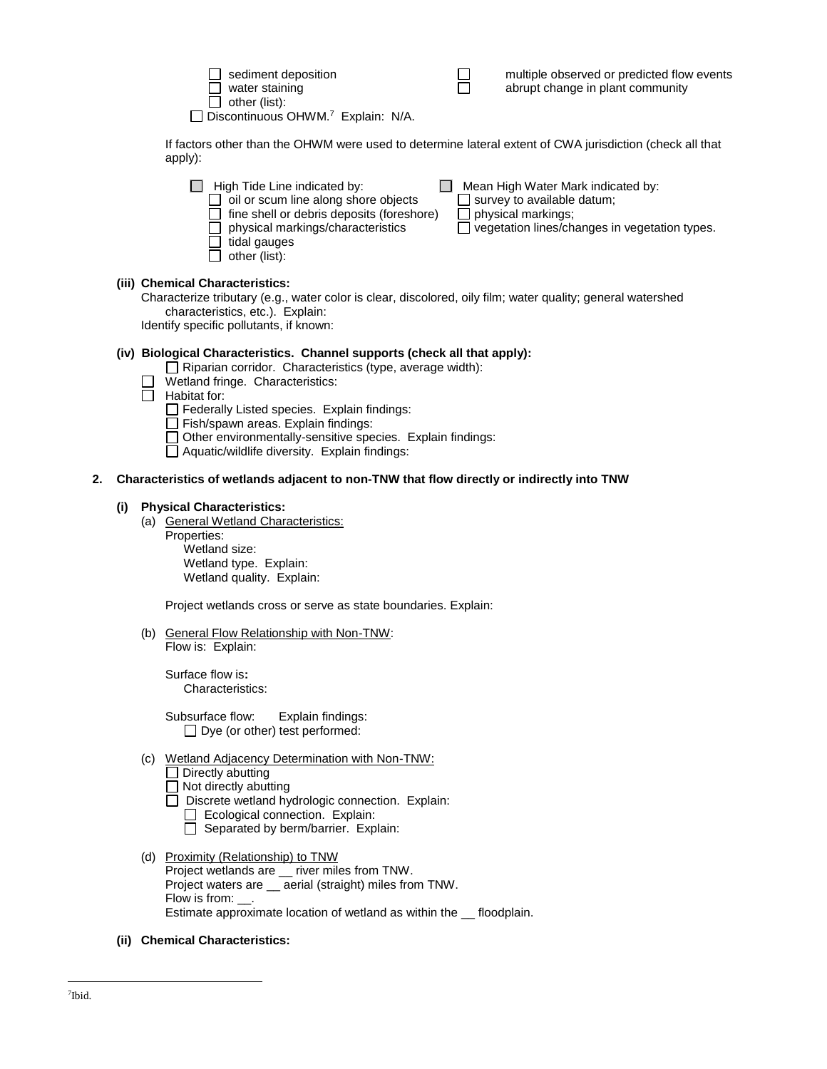| sediment deposition                            |  |
|------------------------------------------------|--|
| $\Box$ water staining                          |  |
| $\Box$ other (list):                           |  |
| Discontinuous OHWM. <sup>7</sup> Explain: N/A. |  |

 $\square$  multiple observed or predicted flow events<br> $\square$  abrupt change in plant community abrupt change in plant community

If factors other than the OHWM were used to determine lateral extent of CWA jurisdiction (check all that apply):

|                                                                                                                                                                                                                            | Mean High Water Mark indicated by:<br>High Tide Line indicated by:<br>oil or scum line along shore objects<br>$\Box$ survey to available datum;<br>fine shell or debris deposits (foreshore)<br>$\Box$ physical markings;<br>physical markings/characteristics<br>vegetation lines/changes in vegetation types.<br>tidal gauges<br>other (list): |  |  |
|----------------------------------------------------------------------------------------------------------------------------------------------------------------------------------------------------------------------------|--------------------------------------------------------------------------------------------------------------------------------------------------------------------------------------------------------------------------------------------------------------------------------------------------------------------------------------------------|--|--|
| (iii) Chemical Characteristics:<br>Characterize tributary (e.g., water color is clear, discolored, oily film; water quality; general watershed<br>characteristics, etc.). Explain:<br>Identify annotic pollutante if known |                                                                                                                                                                                                                                                                                                                                                  |  |  |

Identify specific pollutants, if known:

# **(iv) Biological Characteristics. Channel supports (check all that apply):**

- $\Box$  Riparian corridor. Characteristics (type, average width):
- Wetland fringe. Characteristics:
- $\Box$  Habitat for:
	- $\Box$  Federally Listed species. Explain findings:
	- $\Box$  Fish/spawn areas. Explain findings:
	- Other environmentally-sensitive species. Explain findings:
	- $\Box$  Aquatic/wildlife diversity. Explain findings:

## **2. Characteristics of wetlands adjacent to non-TNW that flow directly or indirectly into TNW**

## **(i) Physical Characteristics:**

- (a) General Wetland Characteristics:
	- Properties:

Wetland size: Wetland type. Explain: Wetland quality. Explain:

Project wetlands cross or serve as state boundaries. Explain:

(b) General Flow Relationship with Non-TNW: Flow is: Explain:

Surface flow is**:**  Characteristics:

Subsurface flow:Explain findings:  $\Box$  Dye (or other) test performed:

- (c) Wetland Adjacency Determination with Non-TNW:
	- $\Box$  Directly abutting
	- $\Box$  Not directly abutting
	- □ Discrete wetland hydrologic connection. Explain: Ecological connection. Explain:
		- $\Box$  Separated by berm/barrier. Explain:
- (d) Proximity (Relationship) to TNW Project wetlands are \_\_ river miles from TNW. Project waters are \_\_ aerial (straight) miles from TNW. Flow is from: \_\_. Estimate approximate location of wetland as within the \_\_ floodplain.
- **(ii) Chemical Characteristics:**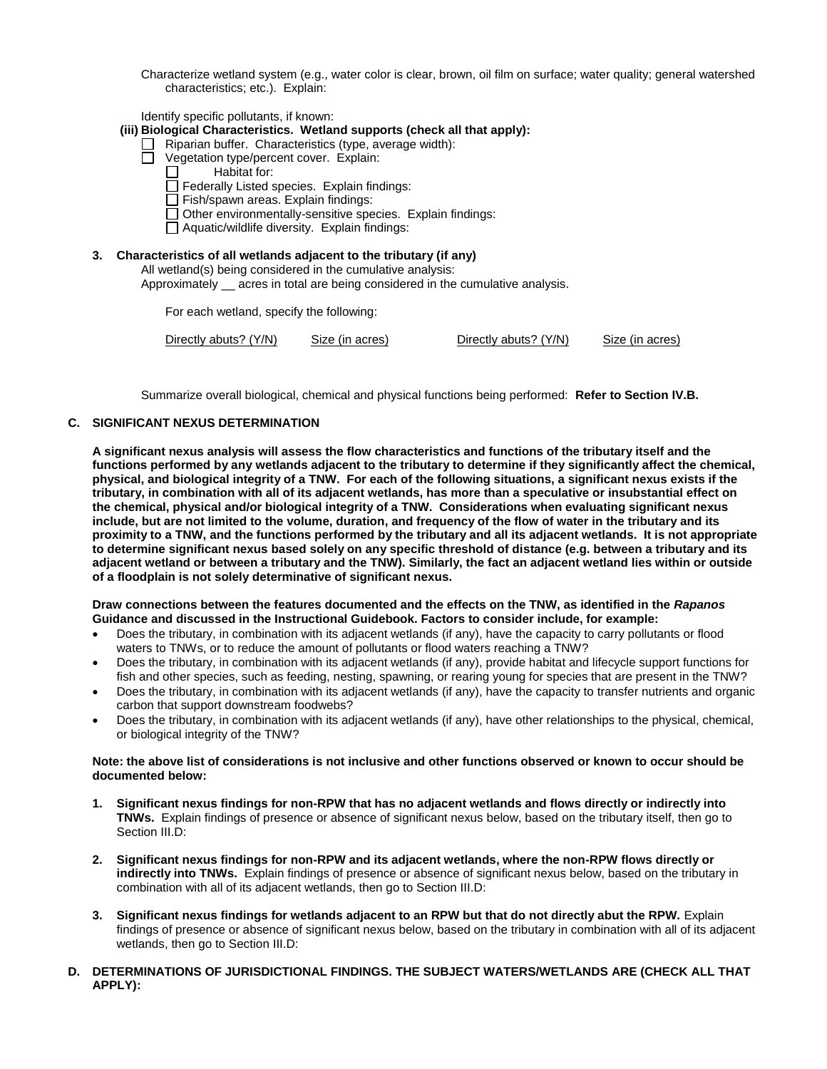Characterize wetland system (e.g., water color is clear, brown, oil film on surface; water quality; general watershed characteristics; etc.). Explain:

Identify specific pollutants, if known:

#### **(iii) Biological Characteristics. Wetland supports (check all that apply):**

- $\Box$  Riparian buffer. Characteristics (type, average width):
- □ Vegetation type/percent cover. Explain:
	- Habitat for:  $\Box$
	- $\Box$  Federally Listed species. Explain findings:
	- Fish/spawn areas. Explain findings:
	- $\Box$  Other environmentally-sensitive species. Explain findings:
	- $\Box$  Aquatic/wildlife diversity. Explain findings:

### **3. Characteristics of all wetlands adjacent to the tributary (if any)**

All wetland(s) being considered in the cumulative analysis:

Approximately \_\_ acres in total are being considered in the cumulative analysis.

For each wetland, specify the following:

| Directly abuts? (Y/N) | Size (in acres) | Directly abuts? (Y/N) | Size (in acres) |
|-----------------------|-----------------|-----------------------|-----------------|
|                       |                 |                       |                 |

Summarize overall biological, chemical and physical functions being performed: **Refer to Section IV.B.**

# **C. SIGNIFICANT NEXUS DETERMINATION**

**A significant nexus analysis will assess the flow characteristics and functions of the tributary itself and the functions performed by any wetlands adjacent to the tributary to determine if they significantly affect the chemical, physical, and biological integrity of a TNW. For each of the following situations, a significant nexus exists if the tributary, in combination with all of its adjacent wetlands, has more than a speculative or insubstantial effect on the chemical, physical and/or biological integrity of a TNW. Considerations when evaluating significant nexus include, but are not limited to the volume, duration, and frequency of the flow of water in the tributary and its proximity to a TNW, and the functions performed by the tributary and all its adjacent wetlands. It is not appropriate to determine significant nexus based solely on any specific threshold of distance (e.g. between a tributary and its adjacent wetland or between a tributary and the TNW). Similarly, the fact an adjacent wetland lies within or outside of a floodplain is not solely determinative of significant nexus.** 

#### **Draw connections between the features documented and the effects on the TNW, as identified in the** *Rapanos* **Guidance and discussed in the Instructional Guidebook. Factors to consider include, for example:**

- Does the tributary, in combination with its adjacent wetlands (if any), have the capacity to carry pollutants or flood waters to TNWs, or to reduce the amount of pollutants or flood waters reaching a TNW?
- Does the tributary, in combination with its adjacent wetlands (if any), provide habitat and lifecycle support functions for fish and other species, such as feeding, nesting, spawning, or rearing young for species that are present in the TNW?
- Does the tributary, in combination with its adjacent wetlands (if any), have the capacity to transfer nutrients and organic carbon that support downstream foodwebs?
- Does the tributary, in combination with its adjacent wetlands (if any), have other relationships to the physical, chemical, or biological integrity of the TNW?

#### **Note: the above list of considerations is not inclusive and other functions observed or known to occur should be documented below:**

- **1. Significant nexus findings for non-RPW that has no adjacent wetlands and flows directly or indirectly into TNWs.** Explain findings of presence or absence of significant nexus below, based on the tributary itself, then go to Section III.D:
- **2. Significant nexus findings for non-RPW and its adjacent wetlands, where the non-RPW flows directly or indirectly into TNWs.** Explain findings of presence or absence of significant nexus below, based on the tributary in combination with all of its adjacent wetlands, then go to Section III.D:
- **3. Significant nexus findings for wetlands adjacent to an RPW but that do not directly abut the RPW.** Explain findings of presence or absence of significant nexus below, based on the tributary in combination with all of its adjacent wetlands, then go to Section III.D:
- **D. DETERMINATIONS OF JURISDICTIONAL FINDINGS. THE SUBJECT WATERS/WETLANDS ARE (CHECK ALL THAT APPLY):**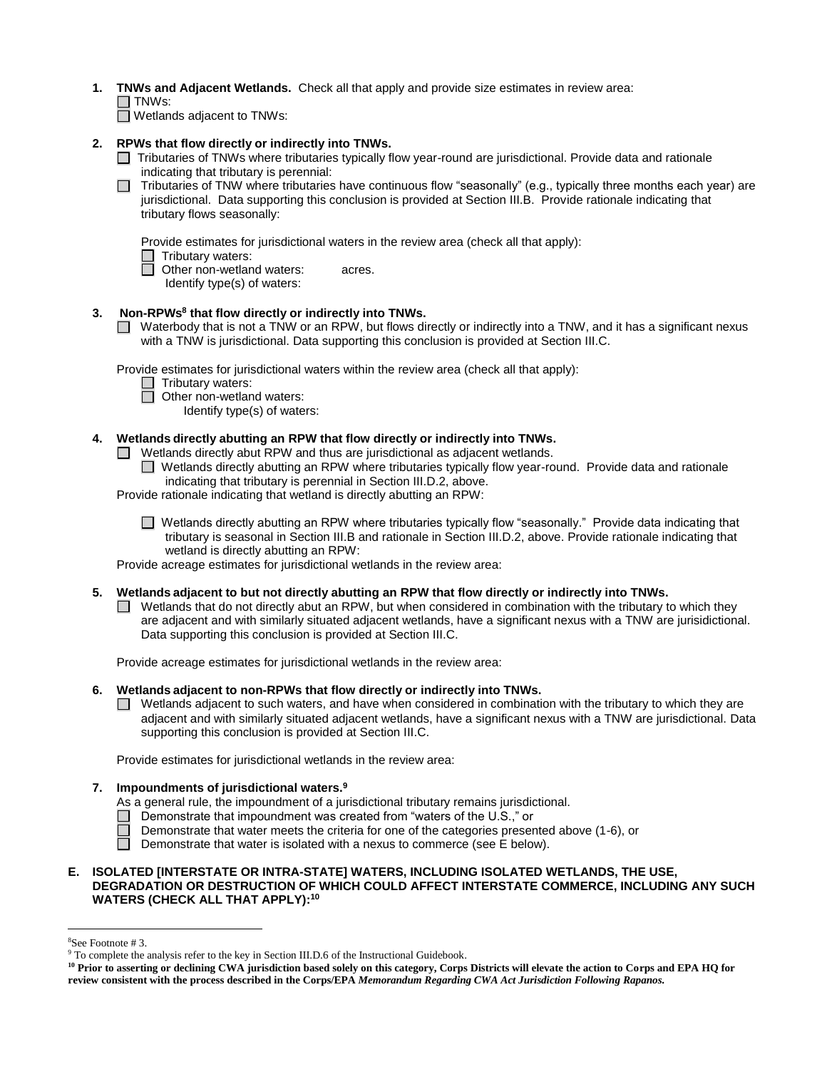- **1. TNWs and Adjacent Wetlands.** Check all that apply and provide size estimates in review area:
	- $\Box$  TNWs:

 $\Box$  Wetlands adjacent to TNWs:

- **2. RPWs that flow directly or indirectly into TNWs.**
	- □ Tributaries of TNWs where tributaries typically flow year-round are jurisdictional. Provide data and rationale indicating that tributary is perennial:
	- Tributaries of TNW where tributaries have continuous flow "seasonally" (e.g., typically three months each year) are jurisdictional. Data supporting this conclusion is provided at Section III.B. Provide rationale indicating that tributary flows seasonally:

Provide estimates for jurisdictional waters in the review area (check all that apply):

 $\Box$  Tributary waters:<br> $\Box$  Other non-wetlan

**Other non-wetland waters: acres.** 

Identify type(s) of waters:

# **3. Non-RPWs<sup>8</sup> that flow directly or indirectly into TNWs.**

■ Waterbody that is not a TNW or an RPW, but flows directly or indirectly into a TNW, and it has a significant nexus with a TNW is jurisdictional. Data supporting this conclusion is provided at Section III.C.

Provide estimates for jurisdictional waters within the review area (check all that apply):

- □ Tributary waters:
- □ Other non-wetland waters:
	- Identify type(s) of waters:

# **4. Wetlands directly abutting an RPW that flow directly or indirectly into TNWs.**

Wetlands directly abut RPW and thus are jurisdictional as adjacent wetlands.

Wetlands directly abutting an RPW where tributaries typically flow year-round. Provide data and rationale indicating that tributary is perennial in Section III.D.2, above.

Provide rationale indicating that wetland is directly abutting an RPW:

■ Wetlands directly abutting an RPW where tributaries typically flow "seasonally." Provide data indicating that tributary is seasonal in Section III.B and rationale in Section III.D.2, above. Provide rationale indicating that wetland is directly abutting an RPW:

Provide acreage estimates for jurisdictional wetlands in the review area:

- **5. Wetlands adjacent to but not directly abutting an RPW that flow directly or indirectly into TNWs.**
	- $\Box$  Wetlands that do not directly abut an RPW, but when considered in combination with the tributary to which they are adjacent and with similarly situated adjacent wetlands, have a significant nexus with a TNW are jurisidictional. Data supporting this conclusion is provided at Section III.C.

Provide acreage estimates for jurisdictional wetlands in the review area:

# **6. Wetlands adjacent to non-RPWs that flow directly or indirectly into TNWs.**

 $\Box$  Wetlands adjacent to such waters, and have when considered in combination with the tributary to which they are adjacent and with similarly situated adjacent wetlands, have a significant nexus with a TNW are jurisdictional. Data supporting this conclusion is provided at Section III.C.

Provide estimates for jurisdictional wetlands in the review area:

# **7. Impoundments of jurisdictional waters.<sup>9</sup>**

- As a general rule, the impoundment of a jurisdictional tributary remains jurisdictional.
- $\Box$  Demonstrate that impoundment was created from "waters of the U.S.," or
- $\Box$  Demonstrate that water meets the criteria for one of the categories presented above (1-6), or
- Demonstrate that water is isolated with a nexus to commerce (see  $E$  below).

## **E. ISOLATED [INTERSTATE OR INTRA-STATE] WATERS, INCLUDING ISOLATED WETLANDS, THE USE, DEGRADATION OR DESTRUCTION OF WHICH COULD AFFECT INTERSTATE COMMERCE, INCLUDING ANY SUCH WATERS (CHECK ALL THAT APPLY):<sup>10</sup>**

 $\overline{a}$ 

<sup>8</sup>See Footnote # 3.

<sup>9</sup> To complete the analysis refer to the key in Section III.D.6 of the Instructional Guidebook.

**<sup>10</sup> Prior to asserting or declining CWA jurisdiction based solely on this category, Corps Districts will elevate the action to Corps and EPA HQ for review consistent with the process described in the Corps/EPA** *Memorandum Regarding CWA Act Jurisdiction Following Rapanos.*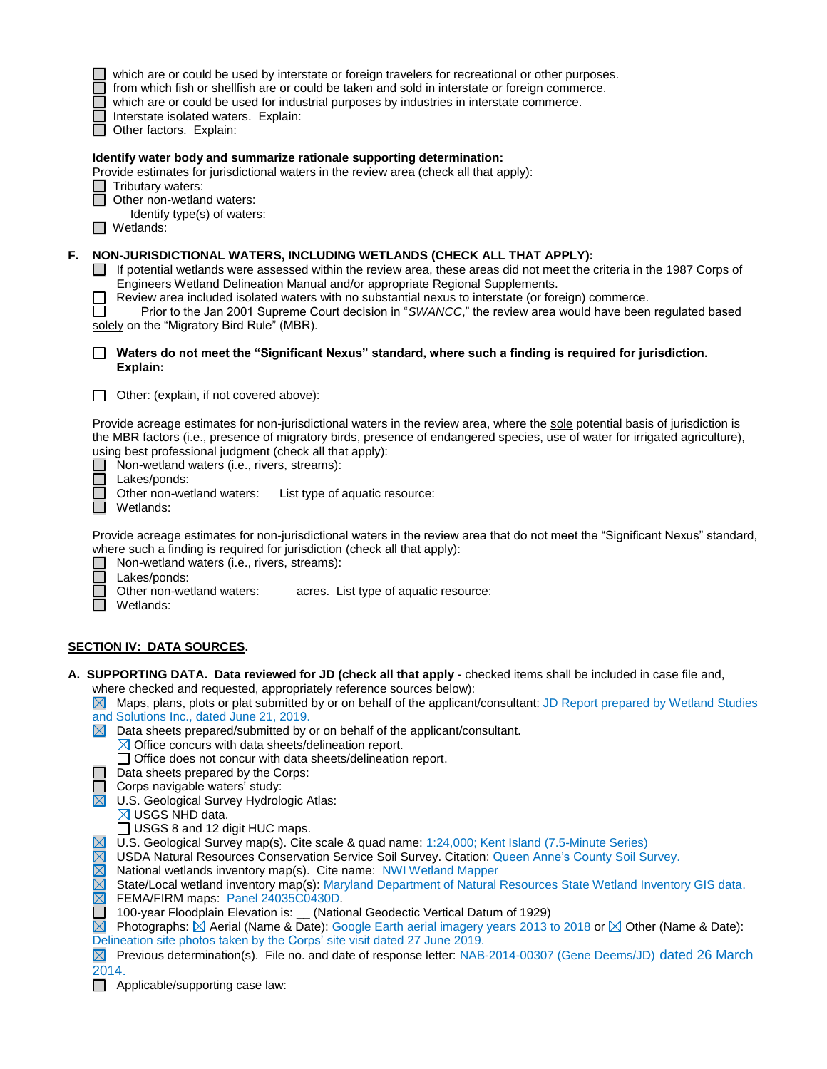|    | which are or could be used by interstate or foreign travelers for recreational or other purposes.<br>from which fish or shellfish are or could be taken and sold in interstate or foreign commerce.<br>which are or could be used for industrial purposes by industries in interstate commerce.<br>Interstate isolated waters. Explain:<br>Other factors. Explain:                                                                                                                                                                                                                                                                                                                                                                                                                                                                                                                                                                                                                                                                                                                                                                                                                                                                                                                                                                                                                                                                                                                                                                                                                                                                                                                                                                                                         |
|----|----------------------------------------------------------------------------------------------------------------------------------------------------------------------------------------------------------------------------------------------------------------------------------------------------------------------------------------------------------------------------------------------------------------------------------------------------------------------------------------------------------------------------------------------------------------------------------------------------------------------------------------------------------------------------------------------------------------------------------------------------------------------------------------------------------------------------------------------------------------------------------------------------------------------------------------------------------------------------------------------------------------------------------------------------------------------------------------------------------------------------------------------------------------------------------------------------------------------------------------------------------------------------------------------------------------------------------------------------------------------------------------------------------------------------------------------------------------------------------------------------------------------------------------------------------------------------------------------------------------------------------------------------------------------------------------------------------------------------------------------------------------------------|
|    | Identify water body and summarize rationale supporting determination:<br>Provide estimates for jurisdictional waters in the review area (check all that apply):<br>Tributary waters:<br>Other non-wetland waters:<br>Identify type(s) of waters:<br>Wetlands:                                                                                                                                                                                                                                                                                                                                                                                                                                                                                                                                                                                                                                                                                                                                                                                                                                                                                                                                                                                                                                                                                                                                                                                                                                                                                                                                                                                                                                                                                                              |
| F. | NON-JURISDICTIONAL WATERS, INCLUDING WETLANDS (CHECK ALL THAT APPLY):<br>If potential wetlands were assessed within the review area, these areas did not meet the criteria in the 1987 Corps of<br>Engineers Wetland Delineation Manual and/or appropriate Regional Supplements.<br>Review area included isolated waters with no substantial nexus to interstate (or foreign) commerce.<br>Prior to the Jan 2001 Supreme Court decision in "SWANCC," the review area would have been regulated based<br>solely on the "Migratory Bird Rule" (MBR).                                                                                                                                                                                                                                                                                                                                                                                                                                                                                                                                                                                                                                                                                                                                                                                                                                                                                                                                                                                                                                                                                                                                                                                                                         |
|    | Waters do not meet the "Significant Nexus" standard, where such a finding is required for jurisdiction.<br>Explain:                                                                                                                                                                                                                                                                                                                                                                                                                                                                                                                                                                                                                                                                                                                                                                                                                                                                                                                                                                                                                                                                                                                                                                                                                                                                                                                                                                                                                                                                                                                                                                                                                                                        |
|    | Other: (explain, if not covered above):                                                                                                                                                                                                                                                                                                                                                                                                                                                                                                                                                                                                                                                                                                                                                                                                                                                                                                                                                                                                                                                                                                                                                                                                                                                                                                                                                                                                                                                                                                                                                                                                                                                                                                                                    |
|    | Provide acreage estimates for non-jurisdictional waters in the review area, where the sole potential basis of jurisdiction is<br>the MBR factors (i.e., presence of migratory birds, presence of endangered species, use of water for irrigated agriculture),<br>using best professional judgment (check all that apply):<br>Non-wetland waters (i.e., rivers, streams):<br>Lakes/ponds:                                                                                                                                                                                                                                                                                                                                                                                                                                                                                                                                                                                                                                                                                                                                                                                                                                                                                                                                                                                                                                                                                                                                                                                                                                                                                                                                                                                   |
|    | Other non-wetland waters:<br>List type of aquatic resource:<br>Wetlands:                                                                                                                                                                                                                                                                                                                                                                                                                                                                                                                                                                                                                                                                                                                                                                                                                                                                                                                                                                                                                                                                                                                                                                                                                                                                                                                                                                                                                                                                                                                                                                                                                                                                                                   |
|    | Provide acreage estimates for non-jurisdictional waters in the review area that do not meet the "Significant Nexus" standard,<br>where such a finding is required for jurisdiction (check all that apply):<br>Non-wetland waters (i.e., rivers, streams):<br>Lakes/ponds:                                                                                                                                                                                                                                                                                                                                                                                                                                                                                                                                                                                                                                                                                                                                                                                                                                                                                                                                                                                                                                                                                                                                                                                                                                                                                                                                                                                                                                                                                                  |
|    | Other non-wetland waters:<br>acres. List type of aquatic resource:<br>Wetlands:                                                                                                                                                                                                                                                                                                                                                                                                                                                                                                                                                                                                                                                                                                                                                                                                                                                                                                                                                                                                                                                                                                                                                                                                                                                                                                                                                                                                                                                                                                                                                                                                                                                                                            |
|    | <b>SECTION IV: DATA SOURCES.</b>                                                                                                                                                                                                                                                                                                                                                                                                                                                                                                                                                                                                                                                                                                                                                                                                                                                                                                                                                                                                                                                                                                                                                                                                                                                                                                                                                                                                                                                                                                                                                                                                                                                                                                                                           |
|    | A. SUPPORTING DATA. Data reviewed for JD (check all that apply - checked items shall be included in case file and,<br>where checked and requested, appropriately reference sources below):<br>Maps, plans, plots or plat submitted by or on behalf of the applicant/consultant: JD Report prepared by Wetland Studies<br>IXI.<br>and Solutions Inc., dated June 21, 2019.<br>Data sheets prepared/submitted by or on behalf of the applicant/consultant.<br>$\boxtimes$ Office concurs with data sheets/delineation report.<br>$\Box$ Office does not concur with data sheets/delineation report.<br>Data sheets prepared by the Corps:<br>Corps navigable waters' study:<br>$\boxtimes$<br>U.S. Geological Survey Hydrologic Atlas:<br>$\boxtimes$ USGS NHD data.<br>$\Box$ USGS 8 and 12 digit HUC maps.<br>U.S. Geological Survey map(s). Cite scale & quad name: 1:24,000; Kent Island (7.5-Minute Series)<br>OMMMMM<br>USDA Natural Resources Conservation Service Soil Survey. Citation: Queen Anne's County Soil Survey.<br>National wetlands inventory map(s). Cite name: NWI Wetland Mapper<br>State/Local wetland inventory map(s): Maryland Department of Natural Resources State Wetland Inventory GIS data.<br>FEMA/FIRM maps: Panel 24035C0430D.<br>100-year Floodplain Elevation is: _ (National Geodectic Vertical Datum of 1929)<br>$\boxtimes$<br>Photographs: $\boxtimes$ Aerial (Name & Date): Google Earth aerial imagery years 2013 to 2018 or $\boxtimes$ Other (Name & Date):<br>Delineation site photos taken by the Corps' site visit dated 27 June 2019.<br>Previous determination(s). File no. and date of response letter: NAB-2014-00307 (Gene Deems/JD) dated 26 March<br>$\boxtimes$<br>2014.<br>$\Box$<br>Applicable/supporting case law: |
|    |                                                                                                                                                                                                                                                                                                                                                                                                                                                                                                                                                                                                                                                                                                                                                                                                                                                                                                                                                                                                                                                                                                                                                                                                                                                                                                                                                                                                                                                                                                                                                                                                                                                                                                                                                                            |